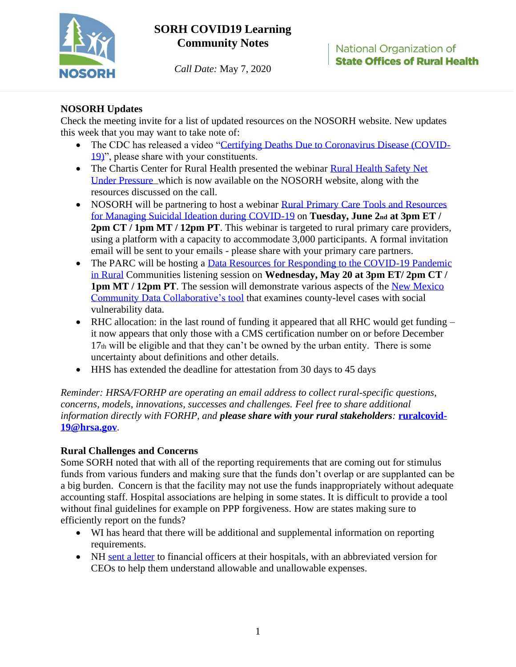

# **SORH COVID19 Learning Community Notes**

*Call Date:* May 7, 2020

## **NOSORH Updates**

Check the meeting invite for a list of updated resources on the NOSORH website. New updates this week that you may want to take note of:

- The CDC has released a video ["Certifying Deaths Due to Coronavirus Disease \(COVID-](https://youtu.be/oL3VMwieAms)[19\)"](https://youtu.be/oL3VMwieAms), please share with your constituents.
- The Chartis Center for Rural Health presented the webinar Rural Health Safety Net [Under Pressure](https://nosorh.org/category/webinars/) which is now available on the NOSORH website, along with the resources discussed on the call.
- NOSORH will be partnering to host a webinar Rural Primary Care Tools and Resources [for Managing Suicidal Ideation during COVID-19](https://mhttcnetwork.org/centers/mountain-plains-mhttc/event/rural-primary-care-tools-and-resources-managing-suicidal) on **Tuesday, June 2nd at 3pm ET / 2pm CT / 1pm MT / 12pm PT**. This webinar is targeted to rural primary care providers, using a platform with a capacity to accommodate 3,000 participants. A formal invitation email will be sent to your emails - please share with your primary care partners.
- The PARC will be hosting a Data Resources for Responding to the COVID-19 Pandemic [in Rural](https://nosorh.webex.com/nosorh/onstage/g.php?MTID=e2701b4beff5b8f94cd849f38f3f385f7) Communities listening session on **Wednesday, May 20 at 3pm ET/ 2pm CT / 1pm MT / 12pm PT**. The session will demonstrate various aspects of the New Mexico [Community Data Collaborative's tool](https://nmcdc.maps.arcgis.com/home/webmap/viewer.html?webmap=630d504852a345b1b685ddab65b46a18) that examines county-level cases with social vulnerability data.
- RHC allocation: in the last round of funding it appeared that all RHC would get funding it now appears that only those with a CMS certification number on or before December 17th will be eligible and that they can't be owned by the urban entity. There is some uncertainty about definitions and other details.
- HHS has extended the deadline for attestation from 30 days to 45 days

*Reminder: HRSA/FORHP are operating an email address to collect rural-specific questions, concerns, models, innovations, successes and challenges. Feel free to share additional information directly with FORHP, and please share with your rural stakeholders:* **[ruralcovid-](mailto:ruralcovid-19@hrsa.gov)[19@hrsa.gov](mailto:ruralcovid-19@hrsa.gov)***.*

### **Rural Challenges and Concerns**

Some SORH noted that with all of the reporting requirements that are coming out for stimulus funds from various funders and making sure that the funds don't overlap or are supplanted can be a big burden. Concern is that the facility may not use the funds inappropriately without adequate accounting staff. Hospital associations are helping in some states. It is difficult to provide a tool without final guidelines for example on PPP forgiveness. How are states making sure to efficiently report on the funds?

- WI has heard that there will be additional and supplemental information on reporting requirements.
- NH [sent a letter](https://nosorh.org/wp-content/uploads/2020/05/COVID19-SHIP-Funding-Additional-Information-and-Reporting-Letter_NH-example.pdf) to financial officers at their hospitals, with an abbreviated version for CEOs to help them understand allowable and unallowable expenses.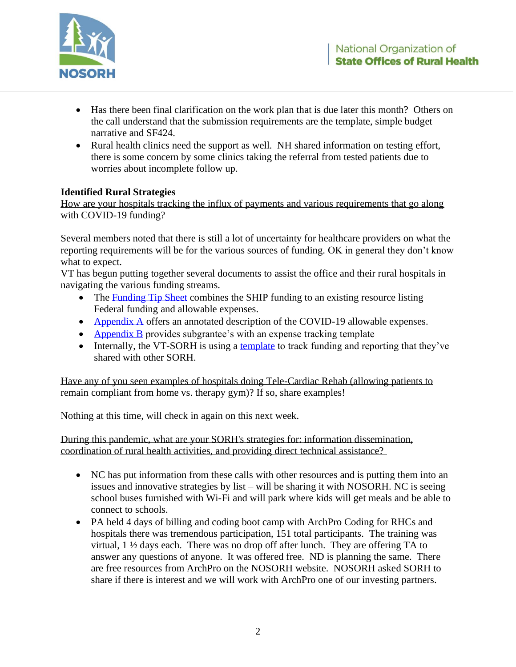

- Has there been final clarification on the work plan that is due later this month? Others on the call understand that the submission requirements are the template, simple budget narrative and SF424.
- Rural health clinics need the support as well. NH shared information on testing effort, there is some concern by some clinics taking the referral from tested patients due to worries about incomplete follow up.

### **Identified Rural Strategies**

How are your hospitals tracking the influx of payments and various requirements that go along with COVID-19 funding?

Several members noted that there is still a lot of uncertainty for healthcare providers on what the reporting requirements will be for the various sources of funding. OK in general they don't know what to expect.

VT has begun putting together several documents to assist the office and their rural hospitals in navigating the various funding streams.

- The [Funding Tip Sheet](https://nosorh.org/wp-content/uploads/2020/05/COVID-19-Funding-Tip-Sheet-Funding_VT-example.pdf) combines the SHIP funding to an existing resource listing Federal funding and allowable expenses.
- [Appendix A](https://nosorh.org/wp-content/uploads/2020/05/VT-COVID-SHIP-Flex-Allowable-Investments2020-21.pdf) offers an annotated description of the COVID-19 allowable expenses.
- [Appendix B](https://nosorh.org/wp-content/uploads/2020/05/SHIP-Flex-Invoice-ExpReport-Template-2020-21.pdf) provides subgrantee's with an expense tracking template
- Internally, the VT-SORH is using a [template](https://nosorh.org/wp-content/uploads/2020/05/VT-COVID-19-Fund-tracking-TEMPLATE-v2-1.xlsx) to track funding and reporting that they've shared with other SORH.

Have any of you seen examples of hospitals doing Tele-Cardiac Rehab (allowing patients to remain compliant from home vs. therapy gym)? If so, share examples!

Nothing at this time, will check in again on this next week.

During this pandemic, what are your SORH's strategies for: information dissemination, coordination of rural health activities, and providing direct technical assistance?

- NC has put information from these calls with other resources and is putting them into an issues and innovative strategies by list – will be sharing it with NOSORH. NC is seeing school buses furnished with Wi-Fi and will park where kids will get meals and be able to connect to schools.
- PA held 4 days of billing and coding boot camp with ArchPro Coding for RHCs and hospitals there was tremendous participation, 151 total participants. The training was virtual, 1 ½ days each. There was no drop off after lunch. They are offering TA to answer any questions of anyone. It was offered free. ND is planning the same. There are free resources from ArchPro on the NOSORH website. NOSORH asked SORH to share if there is interest and we will work with ArchPro one of our investing partners.